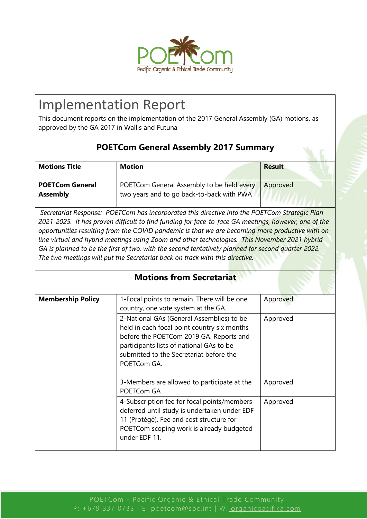

## Implementation Report

This document reports on the implementation of the 2017 General Assembly (GA) motions, as approved by the GA 2017 in Wallis and Futuna

| <b>POETCom General Assembly 2017 Summary</b> |                                                                                        |               |
|----------------------------------------------|----------------------------------------------------------------------------------------|---------------|
| <b>Motions Title</b>                         | <b>Motion</b>                                                                          | <b>Result</b> |
| <b>POETCom General</b><br><b>Assembly</b>    | POETCom General Assembly to be held every<br>two years and to go back-to-back with PWA | Approved      |

*Secretariat Response: POETCom has incorporated this directive into the POETCom Strategic Plan 2021-2025. It has proven difficult to find funding for face-to-face GA meetings, however, one of the opportunities resulting from the COVID pandemic is that we are becoming more productive with online virtual and hybrid meetings using Zoom and other technologies. This November 2021 hybrid GA is planned to be the first of two, with the second tentatively planned for second quarter 2022. The two meetings will put the Secretariat back on track with this directive.* 

| <b>Motions from Secretariat</b> |                                                                                                                                                                                                                                           |          |
|---------------------------------|-------------------------------------------------------------------------------------------------------------------------------------------------------------------------------------------------------------------------------------------|----------|
| <b>Membership Policy</b>        | 1-Focal points to remain. There will be one<br>country, one vote system at the GA.                                                                                                                                                        | Approved |
|                                 | 2-National GAs (General Assemblies) to be<br>held in each focal point country six months<br>before the POETCom 2019 GA. Reports and<br>participants lists of national GAs to be<br>submitted to the Secretariat before the<br>POETCom GA. | Approved |
|                                 | 3-Members are allowed to participate at the<br>POETCom GA                                                                                                                                                                                 | Approved |
|                                 | 4-Subscription fee for focal points/members<br>deferred until study is undertaken under EDF<br>11 (Protégé). Fee and cost structure for<br>POETCom scoping work is already budgeted<br>under EDF 11.                                      | Approved |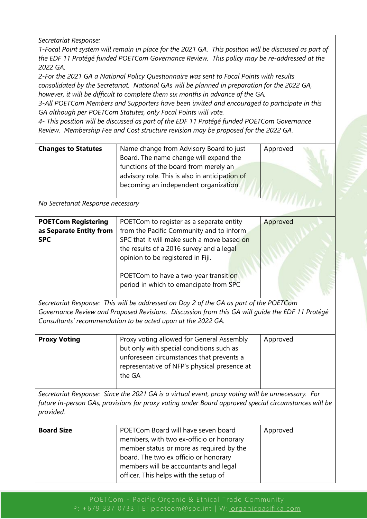*Secretariat Response:* 

*1-Focal Point system will remain in place for the 2021 GA. This position will be discussed as part of the EDF 11 Protégé funded POETCom Governance Review. This policy may be re-addressed at the 2022 GA.*

*2-For the 2021 GA a National Policy Questionnaire was sent to Focal Points with results consolidated by the Secretariat. National GAs will be planned in preparation for the 2022 GA, however, it will be difficult to complete them six months in advance of the GA.*

*3-All POETCom Members and Supporters have been invited and encouraged to participate in this GA although per POETCom Statutes, only Focal Points will vote.*

*4- This position will be discussed as part of the EDF 11 Protégé funded POETCom Governance Review. Membership Fee and Cost structure revision may be proposed for the 2022 GA.*

| <b>Changes to Statutes</b>        | Name change from Advisory Board to just<br>Board. The name change will expand the               | Approved |
|-----------------------------------|-------------------------------------------------------------------------------------------------|----------|
|                                   | functions of the board from merely an                                                           |          |
|                                   | advisory role. This is also in anticipation of<br>becoming an independent organization.         |          |
| No Secretariat Response necessary |                                                                                                 |          |
| <b>POETCom Registering</b>        | POETCom to register as a separate entity                                                        | Approved |
| as Separate Entity from           | from the Pacific Community and to inform                                                        |          |
| <b>SPC</b>                        | SPC that it will make such a move based on                                                      |          |
|                                   | the results of a 2016 survey and a legal                                                        |          |
|                                   | opinion to be registered in Fiji.                                                               |          |
|                                   | POETCom to have a two-year transition                                                           |          |
|                                   | period in which to emancipate from SPC                                                          |          |
|                                   | Secretariat Response: This will be addressed on Day 2 of the GA as part of the POETCom          |          |
|                                   | Governance Review and Proposed Revisions. Discussion from this GA will quide the EDF 11 Protégé |          |

*Consultants' recommendation to be acted upon at the 2022 GA.*

| <b>Proxy Voting</b> | Proxy voting allowed for General Assembly<br>but only with special conditions such as<br>unforeseen circumstances that prevents a<br>representative of NFP's physical presence at<br>the GA | Approved |
|---------------------|---------------------------------------------------------------------------------------------------------------------------------------------------------------------------------------------|----------|
|                     |                                                                                                                                                                                             |          |

*Secretariat Response: Since the 2021 GA is a virtual event, proxy voting will be unnecessary. For future in-person GAs, provisions for proxy voting under Board approved special circumstances will be provided.*

| <b>Board Size</b> | POETCom Board will have seven board<br>members, with two ex-officio or honorary<br>member status or more as required by the<br>board. The two ex officio or honorary | Approved |
|-------------------|----------------------------------------------------------------------------------------------------------------------------------------------------------------------|----------|
|                   | members will be accountants and legal<br>officer. This helps with the setup of                                                                                       |          |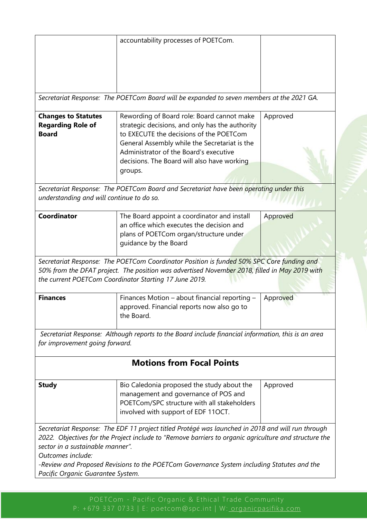|                                           | accountability processes of POETCom.                                                                  |          |
|-------------------------------------------|-------------------------------------------------------------------------------------------------------|----------|
|                                           |                                                                                                       |          |
|                                           |                                                                                                       |          |
|                                           |                                                                                                       |          |
|                                           |                                                                                                       |          |
|                                           | Secretariat Response: The POETCom Board will be expanded to seven members at the 2021 GA.             |          |
| <b>Changes to Statutes</b>                | Rewording of Board role: Board cannot make                                                            | Approved |
| <b>Regarding Role of</b>                  | strategic decisions, and only has the authority                                                       |          |
| <b>Board</b>                              | to EXECUTE the decisions of the POETCom                                                               |          |
|                                           | General Assembly while the Secretariat is the                                                         |          |
|                                           | Administrator of the Board's executive                                                                |          |
|                                           | decisions. The Board will also have working                                                           |          |
|                                           | groups.                                                                                               |          |
|                                           | Secretariat Response: The POETCom Board and Secretariat have been operating under this                |          |
| understanding and will continue to do so. |                                                                                                       |          |
|                                           |                                                                                                       |          |
| Coordinator                               | The Board appoint a coordinator and install                                                           | Approved |
|                                           | an office which executes the decision and                                                             |          |
|                                           | plans of POETCom organ/structure under                                                                |          |
|                                           | guidance by the Board                                                                                 |          |
|                                           |                                                                                                       |          |
|                                           | Secretariat Response: The POETCom Coordinator Position is funded 50% SPC Core funding and             |          |
|                                           | 50% from the DFAT project. The position was advertised November 2018, filled in May 2019 with         |          |
|                                           | the current POETCom Coordinator Starting 17 June 2019.                                                |          |
|                                           |                                                                                                       |          |
| <b>Finances</b>                           | Finances Motion - about financial reporting -                                                         | Approved |
|                                           | approved. Financial reports now also go to                                                            |          |
|                                           | the Board.                                                                                            |          |
|                                           | Secretariat Response: Although reports to the Board include financial information, this is an area    |          |
| for improvement going forward.            |                                                                                                       |          |
|                                           |                                                                                                       |          |
|                                           | <b>Motions from Focal Points</b>                                                                      |          |
|                                           |                                                                                                       |          |
|                                           | Bio Caledonia proposed the study about the                                                            | Approved |
|                                           |                                                                                                       |          |
| <b>Study</b>                              |                                                                                                       |          |
|                                           | management and governance of POS and                                                                  |          |
|                                           | POETCom/SPC structure with all stakeholders                                                           |          |
|                                           | involved with support of EDF 11OCT.                                                                   |          |
|                                           | Secretariat Response: The EDF 11 project titled Protégé was launched in 2018 and will run through     |          |
|                                           | 2022. Objectives for the Project include to "Remove barriers to organic agriculture and structure the |          |
| sector in a sustainable manner".          |                                                                                                       |          |
| Outcomes include:                         |                                                                                                       |          |
|                                           | -Review and Proposed Revisions to the POETCom Governance System including Statutes and the            |          |
| Pacific Organic Guarantee System.         |                                                                                                       |          |

P: +679 337 0733 | E: poetcom@spc.int | W: [organicpasifika.com](http://www.organicpasifika.com/)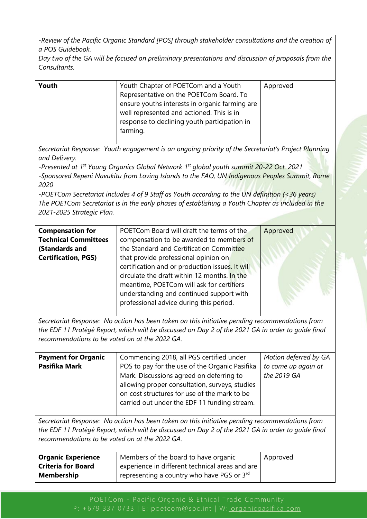*-Review of the Pacific Organic Standard [POS] through stakeholder consultations and the creation of a POS Guidebook.*

*Day two of the GA will be focused on preliminary presentations and discussion of proposals from the Consultants.*

| Youth | Youth Chapter of POETCom and a Youth           | Approved |
|-------|------------------------------------------------|----------|
|       | Representative on the POETCom Board. To        |          |
|       | ensure youths interests in organic farming are |          |
|       | well represented and actioned. This is in      |          |
|       | response to declining youth participation in   |          |
|       | farming.                                       |          |
|       |                                                |          |

*Secretariat Response: Youth engagement is an ongoing priority of the Secretariat's Project Planning and Delivery.* 

*-Presented at 1st Young Organics Global Network 1st global youth summit 20-22 Oct. 2021 -Sponsored Repeni Navukitu from Loving Islands to the FAO, UN Indigenous Peoples Summit, Rome 2020*

*-POETCom Secretariat includes 4 of 9 Staff as Youth according to the UN definition (<36 years) The POETCom Secretariat is in the early phases of establishing a Youth Chapter as included in the 2021-2025 Strategic Plan.*

| <b>Compensation for</b>     | POETCom Board will draft the terms of the       | Approved |
|-----------------------------|-------------------------------------------------|----------|
| <b>Technical Committees</b> | compensation to be awarded to members of        |          |
| (Standards and              | the Standard and Certification Committee        |          |
| <b>Certification, PGS)</b>  | that provide professional opinion on            |          |
|                             | certification and or production issues. It will |          |
|                             | circulate the draft within 12 months. In the    |          |
|                             | meantime, POETCom will ask for certifiers       |          |
|                             | understanding and continued support with        |          |
|                             | professional advice during this period.         |          |
|                             |                                                 |          |

*Secretariat Response: No action has been taken on this initiative pending recommendations from the EDF 11 Protégé Report, which will be discussed on Day 2 of the 2021 GA in order to guide final recommendations to be voted on at the 2022 GA.* 

| <b>Payment for Organic</b> | Commencing 2018, all PGS certified under       | Motion deferred by GA |
|----------------------------|------------------------------------------------|-----------------------|
| Pasifika Mark              | POS to pay for the use of the Organic Pasifika | to come up again at   |
|                            | Mark. Discussions agreed on deferring to       | the 2019 GA           |
|                            | allowing proper consultation, surveys, studies |                       |
|                            | on cost structures for use of the mark to be   |                       |
|                            | carried out under the EDF 11 funding stream.   |                       |
|                            |                                                |                       |

*Secretariat Response: No action has been taken on this initiative pending recommendations from the EDF 11 Protégé Report, which will be discussed on Day 2 of the 2021 GA in order to guide final recommendations to be voted on at the 2022 GA.* 

| <b>Organic Experience</b> | Members of the board to have organic                     | Approved |
|---------------------------|----------------------------------------------------------|----------|
| <b>Criteria for Board</b> | experience in different technical areas and are          |          |
| <b>Membership</b>         | ' representing a country who have PGS or $3^{\text{rd}}$ |          |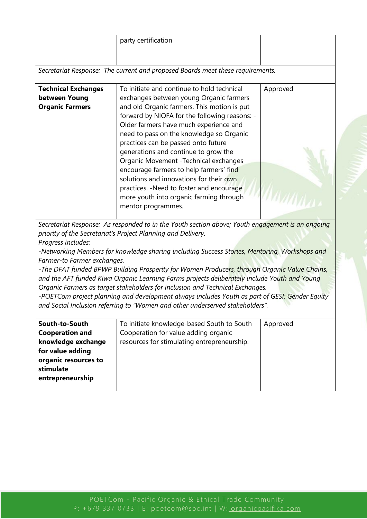|                             | party certification                                                                              |          |  |
|-----------------------------|--------------------------------------------------------------------------------------------------|----------|--|
|                             |                                                                                                  |          |  |
|                             |                                                                                                  |          |  |
|                             | Secretariat Response: The current and proposed Boards meet these requirements.                   |          |  |
| <b>Technical Exchanges</b>  | To initiate and continue to hold technical                                                       | Approved |  |
| between Young               | exchanges between young Organic farmers                                                          |          |  |
| <b>Organic Farmers</b>      | and old Organic farmers. This motion is put                                                      |          |  |
|                             | forward by NIOFA for the following reasons: -                                                    |          |  |
|                             | Older farmers have much experience and                                                           |          |  |
|                             | need to pass on the knowledge so Organic                                                         |          |  |
|                             | practices can be passed onto future                                                              |          |  |
|                             | generations and continue to grow the                                                             |          |  |
|                             | Organic Movement - Technical exchanges                                                           |          |  |
|                             | encourage farmers to help farmers' find                                                          |          |  |
|                             | solutions and innovations for their own                                                          |          |  |
|                             | practices. - Need to foster and encourage                                                        |          |  |
|                             | more youth into organic farming through                                                          |          |  |
|                             | mentor programmes.                                                                               |          |  |
|                             |                                                                                                  |          |  |
|                             | Secretariat Response: As responded to in the Youth section above; Youth engagement is an ongoing |          |  |
|                             | priority of the Secretariat's Project Planning and Delivery.                                     |          |  |
| Progress includes:          |                                                                                                  |          |  |
|                             | -Networking Members for knowledge sharing including Success Stories, Mentoring, Workshops and    |          |  |
| Farmer-to Farmer exchanges. |                                                                                                  |          |  |
|                             | -The DFAT funded BPWP Building Prosperity for Women Producers, through Organic Value Chains,     |          |  |
|                             | and the AFT funded Kiwa Organic Learning Farms projects deliberately include Youth and Young     |          |  |
|                             | Organic Farmers as target stakeholders for inclusion and Technical Exchanges.                    |          |  |
|                             | -POETCom project planning and development always includes Youth as part of GESI: Gender Equity   |          |  |
|                             | and Social Inclusion referring to "Women and other underserved stakeholders".                    |          |  |
|                             |                                                                                                  |          |  |
| South-to-South              | To initiate knowledge-based South to South                                                       | Approved |  |
| <b>Cooperation and</b>      | Cooperation for value adding organic                                                             |          |  |
| knowledge exchange          | resources for stimulating entrepreneurship.                                                      |          |  |
| for value adding            |                                                                                                  |          |  |
| organic resources to        |                                                                                                  |          |  |
| stimulate                   |                                                                                                  |          |  |
| entrepreneurship            |                                                                                                  |          |  |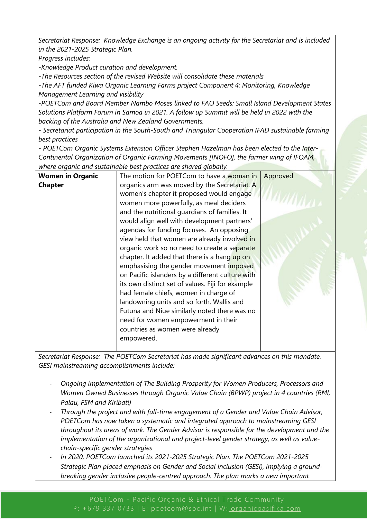*Secretariat Response: Knowledge Exchange is an ongoing activity for the Secretariat and is included in the 2021-2025 Strategic Plan.*

*Progress includes:*

*-Knowledge Product curation and development.* 

*-The Resources section of the revised Website will consolidate these materials*

*-The AFT funded Kiwa Organic Learning Farms project Component 4: Monitoring, Knowledge Management Learning and visibility*

*-POETCom and Board Member Nambo Moses linked to FAO Seeds: Small Island Development States Solutions Platform Forum in Samoa in 2021. A follow up Summit will be held in 2022 with the backing of the Australia and New Zealand Governments.* 

*- Secretariat participation in the South-South and Triangular Cooperation IFAD sustainable farming best practices*

*- POETCom Organic Systems Extension Officer Stephen Hazelman has been elected to the Inter-Continental Organization of Organic Farming Movements [INOFO], the farmer wing of IFOAM, where organic and sustainable best practices are shared globally.*

| <b>Women in Organic</b> | The motion for POETCom to have a woman in        | Approved |
|-------------------------|--------------------------------------------------|----------|
| <b>Chapter</b>          | organics arm was moved by the Secretariat. A     |          |
|                         | women's chapter it proposed would engage         |          |
|                         | women more powerfully, as meal deciders          |          |
|                         | and the nutritional guardians of families. It    |          |
|                         | would align well with development partners'      |          |
|                         | agendas for funding focuses. An opposing         |          |
|                         | view held that women are already involved in     |          |
|                         | organic work so no need to create a separate     |          |
|                         | chapter. It added that there is a hang up on     |          |
|                         | emphasising the gender movement imposed          |          |
|                         | on Pacific islanders by a different culture with |          |
|                         | its own distinct set of values. Fiji for example |          |
|                         | had female chiefs, women in charge of            |          |
|                         | landowning units and so forth. Wallis and        |          |
|                         | Futuna and Niue similarly noted there was no     |          |
|                         | need for women empowerment in their              |          |
|                         | countries as women were already                  |          |
|                         | empowered.                                       |          |
|                         |                                                  |          |

*Secretariat Response: The POETCom Secretariat has made significant advances on this mandate. GESI mainstreaming accomplishments include:*

- *Ongoing implementation of The Building Prosperity for Women Producers, Processors and Women Owned Businesses through Organic Value Chain (BPWP) project in 4 countries (RMI, Palau, FSM and Kiribati)*
- *Through the project and with full-time engagement of a Gender and Value Chain Advisor, POETCom has now taken a systematic and integrated approach to mainstreaming GESI throughout its areas of work. The Gender Advisor is responsible for the development and the implementation of the organizational and project-level gender strategy, as well as valuechain-specific gender strategies*
- *In 2020, POETCom launched its 2021-2025 Strategic Plan. The POETCom 2021-2025 Strategic Plan placed emphasis on Gender and Social Inclusion (GESI), implying a groundbreaking gender inclusive people-centred approach. The plan marks a new important*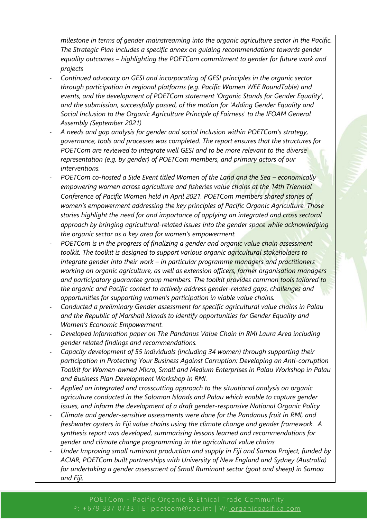*milestone in terms of gender mainstreaming into the organic agriculture sector in the Pacific. The Strategic Plan includes a specific annex on guiding recommendations towards gender equality outcomes – highlighting the POETCom commitment to gender for future work and projects* 

- *Continued advocacy on GESI and incorporating of GESI principles in the organic sector through participation in regional platforms (e.g. Pacific Women WEE RoundTable) and events, and the development of POETCom statement 'Organic Stands for Gender Equality', and the submission, successfully passed, of the motion for 'Adding Gender Equality and Social Inclusion to the Organic Agriculture Principle of Fairness' to the IFOAM General Assembly (September 2021)*
- *A needs and gap analysis for gender and social Inclusion within POETCom's strategy, governance, tools and processes was completed. The report ensures that the structures for POETCom are reviewed to integrate well GESI and to be more relevant to the diverse representation (e.g. by gender) of POETCom members, and primary actors of our interventions.*
- *POETCom co-hosted a Side Event titled Women of the Land and the Sea economically empowering women across agriculture and fisheries value chains at the 14th Triennial Conference of Pacific Women held in April 2021. POETCom members shared stories of women's empowerment addressing the key principles of Pacific Organic Agriculture. Those stories highlight the need for and importance of applying an integrated and cross sectoral approach by bringing agricultural-related issues into the gender space while acknowledging the organic sector as a key area for women's empowerment.*
- *POETCom is in the progress of finalizing a gender and organic value chain assessment toolkit. The toolkit is designed to support various organic agricultural stakeholders to integrate gender into their work – in particular programme managers and practitioners working on organic agriculture, as well as extension officers, farmer organisation managers and participatory guarantee group members. The toolkit provides common tools tailored to the organic and Pacific context to actively address gender-related gaps, challenges and opportunities for supporting women's participation in viable value chains.*
- *Conducted a preliminary Gender assessment for specific agricultural value chains in Palau and the Republic of Marshall Islands to identify opportunities for Gender Equality and Women's Economic Empowerment.*
- *Developed Information paper on The Pandanus Value Chain in RMI Laura Area including gender related findings and recommendations.*
- *Capacity development of 55 individuals (including 34 women) through supporting their participation in Protecting Your Business Against Corruption: Developing an Anti-corruption Toolkit for Women-owned Micro, Small and Medium Enterprises in Palau Workshop in Palau and Business Plan Development Workshop in RMI.*
- *Applied an integrated and crosscutting approach to the situational analysis on organic agriculture conducted in the Solomon Islands and Palau which enable to capture gender issues, and inform the development of a draft gender-responsive National Organic Policy*
- *Climate and gender-sensitive assessments were done for the Pandanus fruit in RMI, and freshwater oysters in Fiji value chains using the climate change and gender framework. A synthesis report was developed, summarising lessons learned and recommendations for gender and climate change programming in the agricultural value chains*
- *Under Improving small ruminant production and supply in Fiji and Samoa Project, funded by ACIAR, POETCom built partnerships with University of New England and Sydney (Australia) for undertaking a gender assessment of Small Ruminant sector (goat and sheep) in Samoa and Fiji.*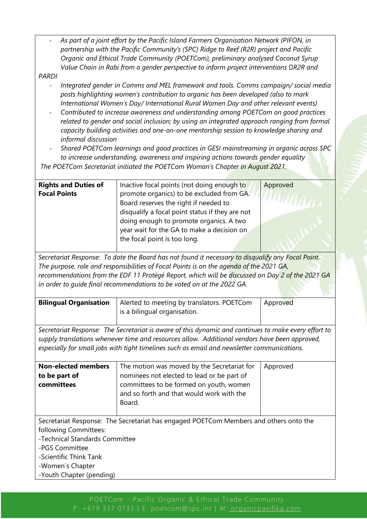| As part of a joint effort by the Pacific Island Farmers Organisation Network (PIFON, in<br>partnership with the Pacific Community's (SPC) Ridge to Reef (R2R) project and Pacific<br>Organic and Ethical Trade Community (POETCom), preliminary analysed Coconut Syrup<br>Value Chain in Rabi from a gender perspective to inform project interventions DR2R and<br><b>PARDI</b><br>Integrated gender in Comms and MEL framework and tools. Comms campaign/social media<br>posts highlighting women's contribution to organic has been developed (also to mark<br>International Women's Day/ International Rural Women Day and other relevant events)<br>Contributed to increase awareness and understanding among POETCom on good practices<br>related to gender and social inclusion; by using an integrated approach ranging from formal<br>capacity building activities and one-on-one mentorship session to knowledge sharing and<br>informal discussion<br>Shared POETCom learnings and good practices in GESI mainstreaming in organic across SPC<br>to increase understanding, awareness and inspiring actions towards gender equality<br>The POETCom Secretariat initiated the POETCom Woman's Chapter in August 2021. |                                                                                                                                                                                                                                                                                                              |          |  |
|---------------------------------------------------------------------------------------------------------------------------------------------------------------------------------------------------------------------------------------------------------------------------------------------------------------------------------------------------------------------------------------------------------------------------------------------------------------------------------------------------------------------------------------------------------------------------------------------------------------------------------------------------------------------------------------------------------------------------------------------------------------------------------------------------------------------------------------------------------------------------------------------------------------------------------------------------------------------------------------------------------------------------------------------------------------------------------------------------------------------------------------------------------------------------------------------------------------------------------|--------------------------------------------------------------------------------------------------------------------------------------------------------------------------------------------------------------------------------------------------------------------------------------------------------------|----------|--|
| <b>Rights and Duties of</b><br><b>Focal Points</b>                                                                                                                                                                                                                                                                                                                                                                                                                                                                                                                                                                                                                                                                                                                                                                                                                                                                                                                                                                                                                                                                                                                                                                              | Inactive focal points (not doing enough to<br>promote organics) to be excluded from GA.<br>Board reserves the right if needed to<br>disqualify a focal point status if they are not<br>doing enough to promote organics. A two<br>year wait for the GA to make a decision on<br>the focal point is too long. | Approved |  |
| Secretariat Response: To date the Board has not found it necessary to disqualify any Focal Point.<br>The purpose, role and responsibilities of Focal Points is on the agenda of the 2021 GA,<br>recommendations from the EDF 11 Protégé Report, which will be discussed on Day 2 of the 2021 GA<br>in order to quide final recommendations to be voted on at the 2022 GA.                                                                                                                                                                                                                                                                                                                                                                                                                                                                                                                                                                                                                                                                                                                                                                                                                                                       |                                                                                                                                                                                                                                                                                                              |          |  |
| <b>Bilingual Organisation</b>                                                                                                                                                                                                                                                                                                                                                                                                                                                                                                                                                                                                                                                                                                                                                                                                                                                                                                                                                                                                                                                                                                                                                                                                   | Alerted to meeting by translators. POETCom<br>is a bilingual organisation.                                                                                                                                                                                                                                   | Approved |  |
| Secretariat Response: The Secretariat is aware of this dynamic and continues to make every effort to<br>supply translations whenever time and resources allow. Additional vendors have been approved,<br>especially for small jobs with tight timelines such as email and newsletter communications.                                                                                                                                                                                                                                                                                                                                                                                                                                                                                                                                                                                                                                                                                                                                                                                                                                                                                                                            |                                                                                                                                                                                                                                                                                                              |          |  |
| <b>Non-elected members</b><br>to be part of<br>committees                                                                                                                                                                                                                                                                                                                                                                                                                                                                                                                                                                                                                                                                                                                                                                                                                                                                                                                                                                                                                                                                                                                                                                       | The motion was moved by the Secretariat for<br>nominees not elected to lead or be part of<br>committees to be formed on youth, women<br>and so forth and that would work with the<br>Board.                                                                                                                  | Approved |  |
| following Committees:<br>-Technical Standards Committee<br>-PGS Committee<br>-Scientific Think Tank<br>-Women's Chapter<br>-Youth Chapter (pending)                                                                                                                                                                                                                                                                                                                                                                                                                                                                                                                                                                                                                                                                                                                                                                                                                                                                                                                                                                                                                                                                             | Secretariat Response: The Secretariat has engaged POETCom Members and others onto the                                                                                                                                                                                                                        |          |  |

 $\Gamma$